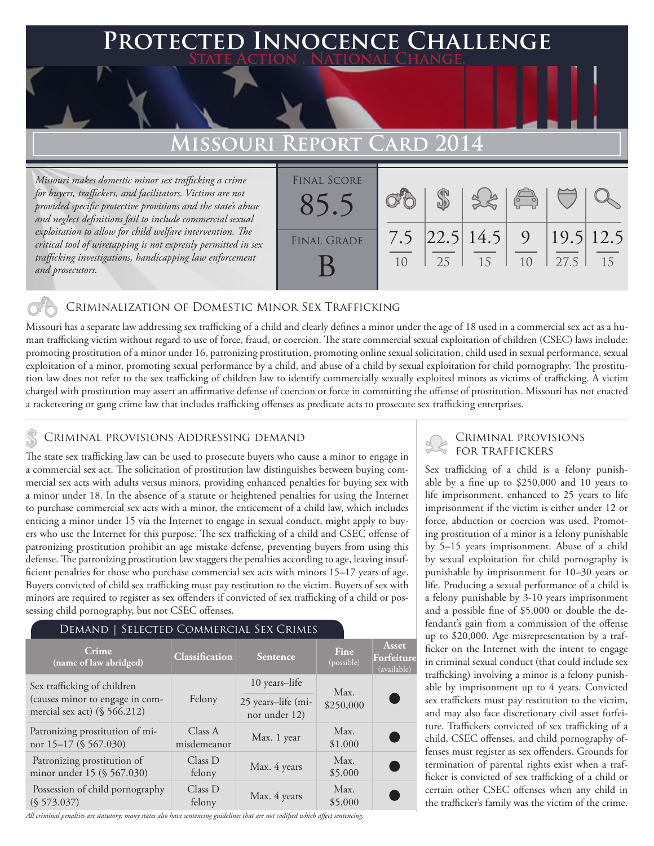## **PTED INNOCENCE CHALLENGE State Action . National Change.**

# **Missouri Report Card 2014**

*Missouri makes domestic minor sex trafficking a crime for buyers, traffickers, and facilitators. Victims are not provided specific protective provisions and the state's abuse and neglect definitions fail to include commercial sexual exploitation to allow for child welfare intervention. The critical tool of wiretapping is not expressly permitted in sex trafficking investigations, handicapping law enforcement and prosecutors.*

| <b>FINAL SCORE</b> |     |    | 3860             |                                  |                   |    |
|--------------------|-----|----|------------------|----------------------------------|-------------------|----|
| <b>FINAL GRADE</b> | 7.5 | 25 | 22.5 14.5 <br>15 | $\overline{9}$<br>1 <sub>0</sub> | 19.5 12.5<br>27.5 | 15 |

## Criminalization of Domestic Minor Sex Trafficking

Missouri has a separate law addressing sex trafficking of a child and clearly defines a minor under the age of 18 used in a commercial sex act as a human trafficking victim without regard to use of force, fraud, or coercion. The state commercial sexual exploitation of children (CSEC) laws include: promoting prostitution of a minor under 16, patronizing prostitution, promoting online sexual solicitation, child used in sexual performance, sexual exploitation of a minor, promoting sexual performance by a child, and abuse of a child by sexual exploitation for child pornography. The prostitution law does not refer to the sex trafficking of children law to identify commercially sexually exploited minors as victims of trafficking. A victim charged with prostitution may assert an affirmative defense of coercion or force in committing the offense of prostitution. Missouri has not enacted a racketeering or gang crime law that includes trafficking offenses as predicate acts to prosecute sex trafficking enterprises.

## CRIMINAL PROVISIONS ADDRESSING DEMAND<br>FOR TRAFFICKERS

The state sex trafficking law can be used to prosecute buyers who cause a minor to engage in a commercial sex act. The solicitation of prostitution law distinguishes between buying commercial sex acts with adults versus minors, providing enhanced penalties for buying sex with a minor under 18. In the absence of a statute or heightened penalties for using the Internet to purchase commercial sex acts with a minor, the enticement of a child law, which includes enticing a minor under 15 via the Internet to engage in sexual conduct, might apply to buyers who use the Internet for this purpose. The sex trafficking of a child and CSEC offense of patronizing prostitution prohibit an age mistake defense, preventing buyers from using this defense. The patronizing prostitution law staggers the penalties according to age, leaving insufficient penalties for those who purchase commercial sex acts with minors 15–17 years of age. Buyers convicted of child sex trafficking must pay restitution to the victim. Buyers of sex with minors are required to register as sex offenders if convicted of sex trafficking of a child or possessing child pornography, but not CSEC offenses.

## Demand | Selected Commercial Sex Crimes

| Crime<br>(name of law abridged)                                    | Classification         | <b>Sentence</b>                     | Fine<br>(possible) | Asset<br>Forfeiture<br>(available) |
|--------------------------------------------------------------------|------------------------|-------------------------------------|--------------------|------------------------------------|
| Sex trafficking of children                                        | Felony                 | 10 years-life                       | Max.               |                                    |
| (causes minor to engage in com-<br>mercial sex act) $(\S 566.212)$ |                        | 25 years-life (mi-<br>nor under 12) | \$250,000          |                                    |
| Patronizing prostitution of mi-<br>nor 15-17 (§ 567.030)           | Class A<br>misdemeanor | Max. 1 year                         | Max.<br>\$1,000    | C.                                 |
| Patronizing prostitution of<br>minor under 15 (§ 567.030)          | Class D<br>felony      | Max. 4 years                        | Max.<br>\$5,000    | $\blacksquare$                     |
| Possession of child pornography<br>(S 573.037)                     | Class D<br>felony      | Max. 4 years                        | Max.<br>\$5,000    |                                    |

*All criminal penalties are statutory; many states also have sentencing guidelines that are not codified which affect sentencing.* 

# Criminal provisions

Sex trafficking of a child is a felony punishable by a fine up to \$250,000 and 10 years to life imprisonment, enhanced to 25 years to life imprisonment if the victim is either under 12 or force, abduction or coercion was used. Promoting prostitution of a minor is a felony punishable by 5–15 years imprisonment. Abuse of a child by sexual exploitation for child pornography is punishable by imprisonment for 10–30 years or life. Producing a sexual performance of a child is a felony punishable by 3-10 years imprisonment and a possible fine of \$5,000 or double the defendant's gain from a commission of the offense up to \$20,000. Age misrepresentation by a trafficker on the Internet with the intent to engage in criminal sexual conduct (that could include sex trafficking) involving a minor is a felony punishable by imprisonment up to 4 years. Convicted sex traffickers must pay restitution to the victim, and may also face discretionary civil asset forfeiture. Traffickers convicted of sex trafficking of a child, CSEC offenses, and child pornography offenses must register as sex offenders. Grounds for termination of parental rights exist when a trafficker is convicted of sex trafficking of a child or certain other CSEC offenses when any child in the trafficker's family was the victim of the crime.